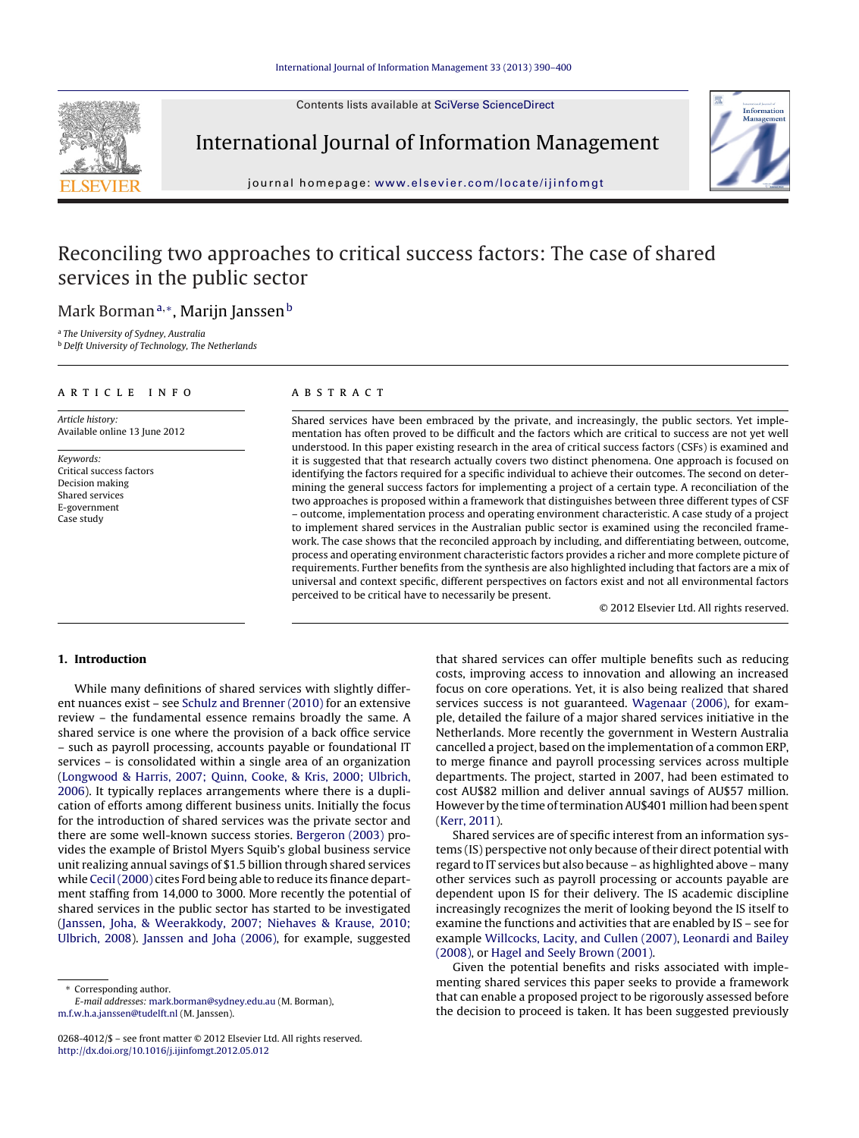Contents lists available at SciVerse [ScienceDirect](http://www.sciencedirect.com/science/journal/02684012)



International Journal of Information Management



jour nal homepag e: [www.elsevier.com/locate/ijinfomgt](http://www.elsevier.com/locate/ijinfomgt)

## Reconciling two approaches to critical success factors: The case of shared services in the public sector

### Mark Borman<sup>a,∗</sup>, Marijn Janssen<sup>b</sup>

<sup>a</sup> The University of Sydney, Australia

**b** Delft University of Technology, The Netherlands

#### a r t i c l e i n f o

Article history: Available online 13 June 2012

Keywords: Critical success factors Decision making Shared services E-government Case study

#### A B S T R A C T

Shared services have been embraced by the private, and increasingly, the public sectors. Yet implementation has often proved to be difficult and the factors which are critical to success are not yet well understood. In this paper existing research in the area of critical success factors (CSFs) is examined and it is suggested that that research actually covers two distinct phenomena. One approach is focused on identifying the factors required for a specific individual to achieve their outcomes. The second on determining the general success factors for implementing a project of a certain type. A reconciliation of the two approaches is proposed within a framework that distinguishes between three different types of CSF – outcome, implementation process and operating environment characteristic. A case study of a project to implement shared services in the Australian public sector is examined using the reconciled framework. The case shows that the reconciled approach by including, and differentiating between, outcome, process and operating environment characteristic factors provides a richer and more complete picture of requirements. Further benefits from the synthesis are also highlighted including that factors are a mix of universal and context specific, different perspectives on factors exist and not all environmental factors perceived to be critical have to necessarily be present.

© 2012 Elsevier Ltd. All rights reserved.

#### **1. Introduction**

While many definitions of shared services with slightly different nuances exist – see [Schulz](#page--1-0) [and](#page--1-0) [Brenner](#page--1-0) [\(2010\)](#page--1-0) for an extensive review – the fundamental essence remains broadly the same. A shared service is one where the provision of a back office service – such as payroll processing, accounts payable or foundational IT services – is consolidated within a single area of an organization ([Longwood](#page--1-0) [&](#page--1-0) [Harris,](#page--1-0) [2007;](#page--1-0) [Quinn,](#page--1-0) [Cooke,](#page--1-0) [&](#page--1-0) [Kris,](#page--1-0) [2000;](#page--1-0) [Ulbrich,](#page--1-0) [2006\).](#page--1-0) It typically replaces arrangements where there is a duplication of efforts among different business units. Initially the focus for the introduction of shared services was the private sector and there are some well-known success stories. [Bergeron](#page--1-0) [\(2003\)](#page--1-0) provides the example of Bristol Myers Squib's global business service unit realizing annual savings of \$1.5 billion through shared services while [Cecil\(2000\)](#page--1-0) cites Ford being able to reduce its finance department staffing from 14,000 to 3000. More recently the potential of shared services in the public sector has started to be investigated ([Janssen,](#page--1-0) [Joha,](#page--1-0) [&](#page--1-0) [Weerakkody,](#page--1-0) [2007;](#page--1-0) [Niehaves](#page--1-0) [&](#page--1-0) [Krause,](#page--1-0) [2010;](#page--1-0) [Ulbrich,](#page--1-0) [2008\).](#page--1-0) [Janssen](#page--1-0) [and](#page--1-0) [Joha](#page--1-0) [\(2006\),](#page--1-0) for example, suggested

∗ Corresponding author.

E-mail addresses: [mark.borman@sydney.edu.au](mailto:mark.borman@sydney.edu.au) (M. Borman), [m.f.w.h.a.janssen@tudelft.nl](mailto:m.f.w.h.a.janssen@tudelft.nl) (M. Janssen).

that shared services can offer multiple benefits such as reducing costs, improving access to innovation and allowing an increased focus on core operations. Yet, it is also being realized that shared services success is not guaranteed. [Wagenaar](#page--1-0) [\(2006\),](#page--1-0) for example, detailed the failure of a major shared services initiative in the Netherlands. More recently the government in Western Australia cancelled a project, based on the implementation of a common ERP, to merge finance and payroll processing services across multiple departments. The project, started in 2007, had been estimated to cost AU\$82 million and deliver annual savings of AU\$57 million. However by the time of termination AU\$401 million had been spent [\(Kerr,](#page--1-0) [2011\).](#page--1-0)

Shared services are of specific interest from an information systems (IS) perspective not only because of their direct potential with regard to IT services but also because – as highlighted above – many other services such as payroll processing or accounts payable are dependent upon IS for their delivery. The IS academic discipline increasingly recognizes the merit of looking beyond the IS itself to examine the functions and activities that are enabled by IS – see for example [Willcocks,](#page--1-0) [Lacity,](#page--1-0) [and](#page--1-0) [Cullen](#page--1-0) [\(2007\),](#page--1-0) [Leonardi](#page--1-0) [and](#page--1-0) [Bailey](#page--1-0) [\(2008\),](#page--1-0) or [Hagel](#page--1-0) [and](#page--1-0) [Seely](#page--1-0) [Brown](#page--1-0) [\(2001\).](#page--1-0)

Given the potential benefits and risks associated with implementing shared services this paper seeks to provide a framework that can enable a proposed project to be rigorously assessed before the decision to proceed is taken. It has been suggested previously

<sup>0268-4012/\$</sup> – see front matter © 2012 Elsevier Ltd. All rights reserved. [http://dx.doi.org/10.1016/j.ijinfomgt.2012.05.012](dx.doi.org/10.1016/j.ijinfomgt.2012.05.012)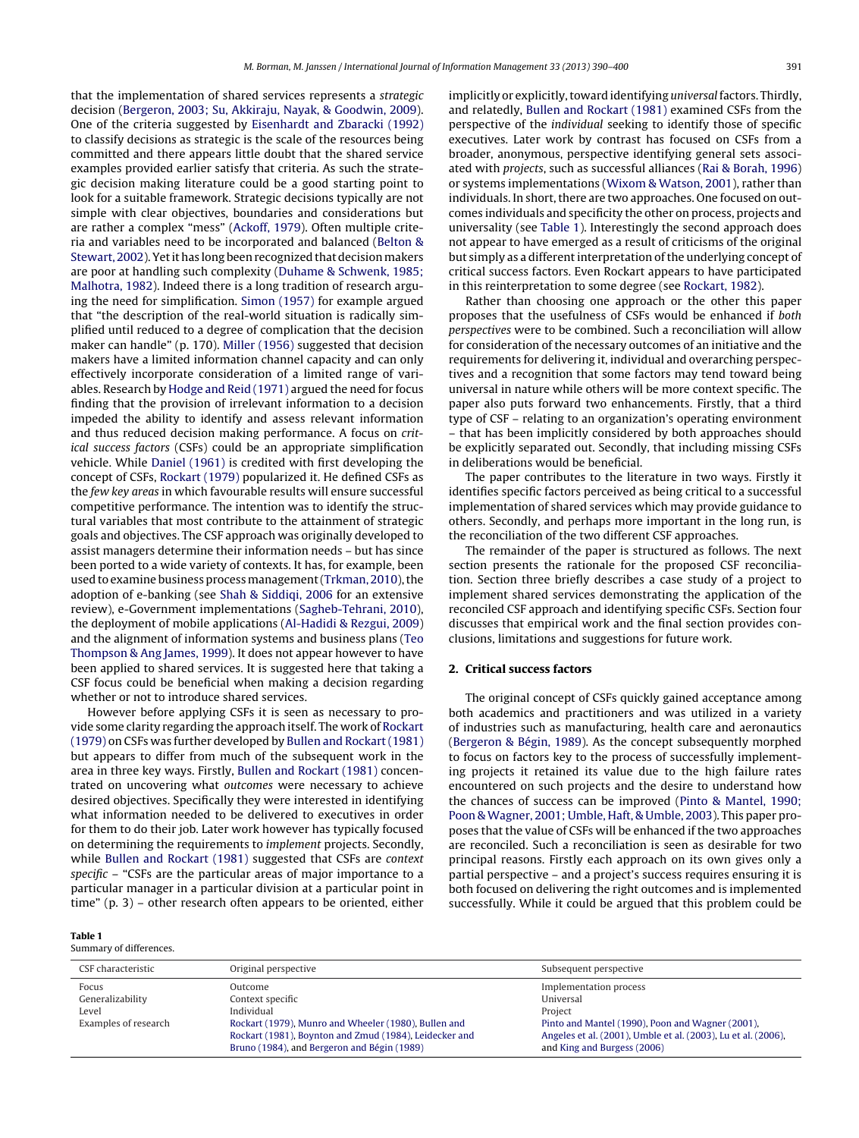that the implementation of shared services represents a strategic decision [\(Bergeron,](#page--1-0) [2003;](#page--1-0) [Su,](#page--1-0) [Akkiraju,](#page--1-0) [Nayak,](#page--1-0) [&](#page--1-0) [Goodwin,](#page--1-0) [2009\).](#page--1-0) One of the criteria suggested by [Eisenhardt](#page--1-0) [and](#page--1-0) [Zbaracki](#page--1-0) [\(1992\)](#page--1-0) to classify decisions as strategic is the scale of the resources being committed and there appears little doubt that the shared service examples provided earlier satisfy that criteria. As such the strategic decision making literature could be a good starting point to look for a suitable framework. Strategic decisions typically are not simple with clear objectives, boundaries and considerations but are rather a complex "mess" ([Ackoff,](#page--1-0) [1979\).](#page--1-0) Often multiple criteria and variables need to be incorporated and balanced [\(Belton](#page--1-0) [&](#page--1-0) [Stewart,](#page--1-0) [2002\).](#page--1-0) Yet it has long been recognized that decision makers are poor at handling such complexity [\(Duhame](#page--1-0) [&](#page--1-0) [Schwenk,](#page--1-0) [1985;](#page--1-0) [Malhotra,](#page--1-0) [1982\).](#page--1-0) Indeed there is a long tradition of research arguing the need for simplification. [Simon](#page--1-0) [\(1957\)](#page--1-0) for example argued that "the description of the real-world situation is radically simplified until reduced to a degree of complication that the decision maker can handle" (p. 170). [Miller](#page--1-0) [\(1956\)](#page--1-0) suggested that decision makers have a limited information channel capacity and can only effectively incorporate consideration of a limited range of variables. Research by [Hodge](#page--1-0) [and](#page--1-0) [Reid](#page--1-0) [\(1971\)](#page--1-0) argued the need for focus finding that the provision of irrelevant information to a decision impeded the ability to identify and assess relevant information and thus reduced decision making performance. A focus on critical success factors (CSFs) could be an appropriate simplification vehicle. While [Daniel](#page--1-0) [\(1961\)](#page--1-0) is credited with first developing the concept of CSFs, [Rockart](#page--1-0) [\(1979\)](#page--1-0) popularized it. He defined CSFs as the few key areas in which favourable results will ensure successful competitive performance. The intention was to identify the structural variables that most contribute to the attainment of strategic goals and objectives. The CSF approach was originally developed to assist managers determine their information needs – but has since been ported to a wide variety of contexts. It has, for example, been used to examine business process management ([Trkman,](#page--1-0) [2010\),](#page--1-0) the adoption of e-banking (see [Shah](#page--1-0) [&](#page--1-0) [Siddiqi,](#page--1-0) [2006](#page--1-0) for an extensive review), e-Government implementations ([Sagheb-Tehrani,](#page--1-0) [2010\),](#page--1-0) the deployment of mobile applications ([Al-Hadidi](#page--1-0) [&](#page--1-0) [Rezgui,](#page--1-0) [2009\)](#page--1-0) and the alignment of information systems and business plans ([Teo](#page--1-0) [Thompson](#page--1-0) [&](#page--1-0) [Ang](#page--1-0) [James,](#page--1-0) [1999\).](#page--1-0) It does not appear however to have been applied to shared services. It is suggested here that taking a CSF focus could be beneficial when making a decision regarding whether or not to introduce shared services.

However before applying CSFs it is seen as necessary to provide some clarity regarding the approach itself. The work of [Rockart](#page--1-0) [\(1979\)](#page--1-0) on CSFs was further developed by [Bullen](#page--1-0) [and](#page--1-0) [Rockart\(1981\)](#page--1-0) but appears to differ from much of the subsequent work in the area in three key ways. Firstly, [Bullen](#page--1-0) [and](#page--1-0) [Rockart](#page--1-0) [\(1981\)](#page--1-0) concentrated on uncovering what outcomes were necessary to achieve desired objectives. Specifically they were interested in identifying what information needed to be delivered to executives in order for them to do their job. Later work however has typically focused on determining the requirements to implement projects. Secondly, while [Bullen](#page--1-0) [and](#page--1-0) [Rockart](#page--1-0) [\(1981\)](#page--1-0) suggested that CSFs are context specific - "CSFs are the particular areas of major importance to a particular manager in a particular division at a particular point in time" (p. 3) – other research often appears to be oriented, either

**Table 1** Summary of differences. implicitly or explicitly, toward identifying *universal* factors. Thirdly, and relatedly, [Bullen](#page--1-0) [and](#page--1-0) [Rockart](#page--1-0) [\(1981\)](#page--1-0) examined CSFs from the perspective of the individual seeking to identify those of specific executives. Later work by contrast has focused on CSFs from a broader, anonymous, perspective identifying general sets associated with projects, such as successful alliances [\(Rai](#page--1-0) [&](#page--1-0) [Borah,](#page--1-0) [1996\)](#page--1-0) or systems implementations ([Wixom](#page--1-0) [&](#page--1-0) [Watson,](#page--1-0) [2001\),](#page--1-0) rather than individuals. In short, there are two approaches. One focused on outcomes individuals and specificity the other on process, projects and universality (see Table 1). Interestingly the second approach does not appear to have emerged as a result of criticisms of the original but simply as a different interpretation of the underlying concept of critical success factors. Even Rockart appears to have participated in this reinterpretation to some degree (see [Rockart,](#page--1-0) [1982\).](#page--1-0)

Rather than choosing one approach or the other this paper proposes that the usefulness of CSFs would be enhanced if both perspectives were to be combined. Such a reconciliation will allow for consideration of the necessary outcomes of an initiative and the requirements for delivering it, individual and overarching perspectives and a recognition that some factors may tend toward being universal in nature while others will be more context specific. The paper also puts forward two enhancements. Firstly, that a third type of CSF – relating to an organization's operating environment – that has been implicitly considered by both approaches should be explicitly separated out. Secondly, that including missing CSFs in deliberations would be beneficial.

The paper contributes to the literature in two ways. Firstly it identifies specific factors perceived as being critical to a successful implementation of shared services which may provide guidance to others. Secondly, and perhaps more important in the long run, is the reconciliation of the two different CSF approaches.

The remainder of the paper is structured as follows. The next section presents the rationale for the proposed CSF reconciliation. Section three briefly describes a case study of a project to implement shared services demonstrating the application of the reconciled CSF approach and identifying specific CSFs. Section four discusses that empirical work and the final section provides conclusions, limitations and suggestions for future work.

#### **2. Critical success factors**

The original concept of CSFs quickly gained acceptance among both academics and practitioners and was utilized in a variety of industries such as manufacturing, health care and aeronautics [\(Bergeron](#page--1-0) [&](#page--1-0) [Bégin,](#page--1-0) [1989\).](#page--1-0) As the concept subsequently morphed to focus on factors key to the process of successfully implementing projects it retained its value due to the high failure rates encountered on such projects and the desire to understand how the chances of success can be improved [\(Pinto](#page--1-0) [&](#page--1-0) [Mantel,](#page--1-0) [1990;](#page--1-0) [Poon](#page--1-0) [&Wagner,](#page--1-0) [2001;](#page--1-0) [Umble,](#page--1-0) [Haft,](#page--1-0) [&](#page--1-0) [Umble,](#page--1-0) [2003\).](#page--1-0) This paper proposes that the value of CSFs will be enhanced if the two approaches are reconciled. Such a reconciliation is seen as desirable for two principal reasons. Firstly each approach on its own gives only a partial perspective – and a project's success requires ensuring it is both focused on delivering the right outcomes and is implemented successfully. While it could be argued that this problem could be

| CSF characteristic   | Original perspective                                   | Subsequent perspective                                        |
|----------------------|--------------------------------------------------------|---------------------------------------------------------------|
| Focus                | Outcome                                                | Implementation process                                        |
| Generalizability     | Context specific                                       | Universal                                                     |
| Level                | Individual                                             | Project                                                       |
| Examples of research | Rockart (1979), Munro and Wheeler (1980), Bullen and   | Pinto and Mantel (1990), Poon and Wagner (2001),              |
|                      | Rockart (1981), Boynton and Zmud (1984), Leidecker and | Angeles et al. (2001), Umble et al. (2003), Lu et al. (2006), |
|                      | Bruno (1984), and Bergeron and Bégin (1989)            | and King and Burgess (2006)                                   |